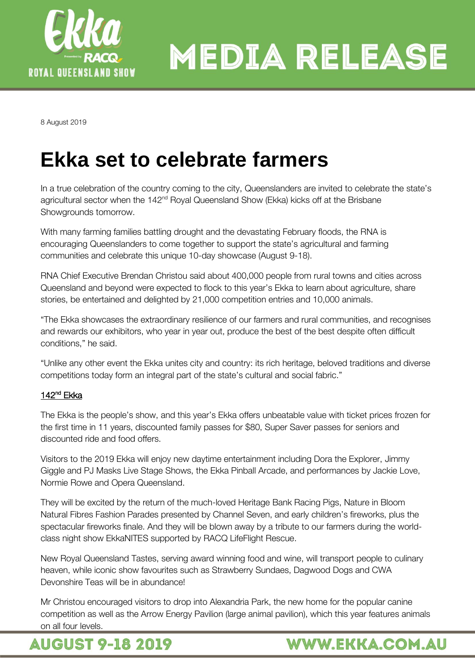

8 August 2019

## **Ekka set to celebrate farmers**

In a true celebration of the country coming to the city, Queenslanders are invited to celebrate the state's agricultural sector when the 142<sup>nd</sup> Royal Queensland Show (Ekka) kicks off at the Brisbane Showgrounds tomorrow.

With many farming families battling drought and the devastating February floods, the RNA is encouraging Queenslanders to come together to support the state's agricultural and farming communities and celebrate this unique 10-day showcase (August 9-18).

RNA Chief Executive Brendan Christou said about 400,000 people from rural towns and cities across Queensland and beyond were expected to flock to this year's Ekka to learn about agriculture, share stories, be entertained and delighted by 21,000 competition entries and 10,000 animals.

"The Ekka showcases the extraordinary resilience of our farmers and rural communities, and recognises and rewards our exhibitors, who year in year out, produce the best of the best despite often difficult conditions," he said.

"Unlike any other event the Ekka unites city and country: its rich heritage, beloved traditions and diverse competitions today form an integral part of the state's cultural and social fabric."

#### 142<sup>nd</sup> Ekka

The Ekka is the people's show, and this year's Ekka offers unbeatable value with ticket prices frozen for the first time in 11 years, discounted family passes for \$80, Super Saver passes for seniors and discounted ride and food offers.

Visitors to the 2019 Ekka will enjoy new daytime entertainment including Dora the Explorer, Jimmy Giggle and PJ Masks Live Stage Shows, the Ekka Pinball Arcade, and performances by Jackie Love, Normie Rowe and Opera Queensland.

They will be excited by the return of the much-loved Heritage Bank Racing Pigs, Nature in Bloom Natural Fibres Fashion Parades presented by Channel Seven, and early children's fireworks, plus the spectacular fireworks finale. And they will be blown away by a tribute to our farmers during the worldclass night show EkkaNITES supported by RACQ LifeFlight Rescue.

New Royal Queensland Tastes, serving award winning food and wine, will transport people to culinary heaven, while iconic show favourites such as Strawberry Sundaes, Dagwood Dogs and CWA Devonshire Teas will be in abundance!

Mr Christou encouraged visitors to drop into Alexandria Park, the new home for the popular canine competition as well as the Arrow Energy Pavilion (large animal pavilion), which this year features animals on all four levels.

### **AUGUST 9-18 2019**

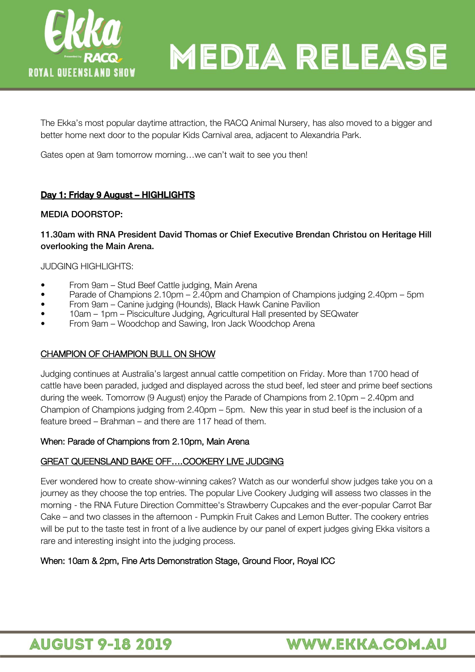

The Ekka's most popular daytime attraction, the RACQ Animal Nursery, has also moved to a bigger and better home next door to the popular Kids Carnival area, adjacent to Alexandria Park.

Gates open at 9am tomorrow morning…we can't wait to see you then!

#### Day 1: Friday 9 August - HIGHLIGHTS

## MEDIA DOORSTOP:

### 11.30am with RNA President David Thomas or Chief Executive Brendan Christou on Heritage Hill overlooking the Main Arena.

JUDGING HIGHLIGHTS:

- From 9am Stud Beef Cattle judging, Main Arena
- Parade of Champions 2.10pm 2.40pm and Champion of Champions judging 2.40pm 5pm
- From 9am Canine judging (Hounds), Black Hawk Canine Pavilion
- 10am 1pm Pisciculture Judging, Agricultural Hall presented by SEQwater
- From 9am Woodchop and Sawing, Iron Jack Woodchop Arena

#### CHAMPION OF CHAMPION BULL ON SHOW

Judging continues at Australia's largest annual cattle competition on Friday. More than 1700 head of cattle have been paraded, judged and displayed across the stud beef, led steer and prime beef sections during the week. Tomorrow (9 August) enjoy the Parade of Champions from 2.10pm – 2.40pm and Champion of Champions judging from 2.40pm – 5pm. New this year in stud beef is the inclusion of a feature breed – Brahman – and there are 117 head of them.

#### When: Parade of Champions from 2.10pm, Main Arena

#### GREAT QUEENSLAND BAKE OFF….COOKERY LIVE JUDGING

Ever wondered how to create show-winning cakes? Watch as our wonderful show judges take you on a journey as they choose the top entries. The popular Live Cookery Judging will assess two classes in the morning - the RNA Future Direction Committee's Strawberry Cupcakes and the ever-popular Carrot Bar Cake – and two classes in the afternoon - Pumpkin Fruit Cakes and Lemon Butter. The cookery entries will be put to the taste test in front of a live audience by our panel of expert judges giving Ekka visitors a rare and interesting insight into the judging process.

#### When: 10am & 2pm, Fine Arts Demonstration Stage, Ground Floor, Royal ICC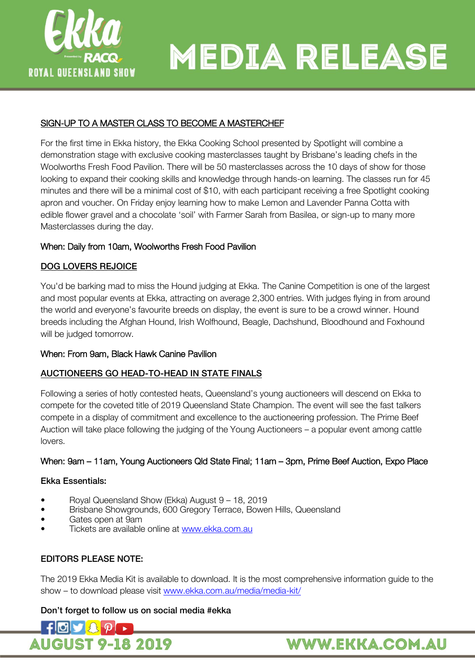

#### SIGN-UP TO A MASTER CLASS TO BECOME A MASTERCHEF

For the first time in Ekka history, the Ekka Cooking School presented by Spotlight will combine a demonstration stage with exclusive cooking masterclasses taught by Brisbane's leading chefs in the Woolworths Fresh Food Pavilion. There will be 50 masterclasses across the 10 days of show for those looking to expand their cooking skills and knowledge through hands-on learning. The classes run for 45 minutes and there will be a minimal cost of \$10, with each participant receiving a free Spotlight cooking apron and voucher. On Friday enjoy learning how to make Lemon and Lavender Panna Cotta with edible flower gravel and a chocolate 'soil' with Farmer Sarah from Basilea, or sign-up to many more Masterclasses during the day.

#### When: Daily from 10am, Woolworths Fresh Food Pavilion

#### DOG LOVERS REJOICE

You'd be barking mad to miss the Hound judging at Ekka. The Canine Competition is one of the largest and most popular events at Ekka, attracting on average 2,300 entries. With judges flying in from around the world and everyone's favourite breeds on display, the event is sure to be a crowd winner. Hound breeds including the Afghan Hound, Irish Wolfhound, Beagle, Dachshund, Bloodhound and Foxhound will be judged tomorrow.

#### When: From 9am, Black Hawk Canine Pavilion

## <u>AUCTION ERS GO HEAD-TO-HEAD-TO-HEAD-TO-HEAD-TO-HEAD-TO-HEAD-TO-HEAD-TO-HEAD-TO-HEAD-TO-HEAD-TO-HEAD IN STATE FINAL</u>

Following a series of hotly contested heats, Queensland's young auctioneers will descend on Ekka to compete for the coveted title of 2019 Queensland State Champion. The event will see the fast talkers compete in a display of commitment and excellence to the auctioneering profession. The Prime Beef Auction will take place following the judging of the Young Auctioneers – a popular event among cattle lovers.

#### When: 9am – 11am, Young Auctioneers Qld State Final; 11am – 3pm, Prime Beef Auction, Expo Place

## Ekka Essentials:

- Royal Queensland Show (Ekka) August 9 18, 2019
- Brisbane Showgrounds, 600 Gregory Terrace, Bowen Hills, Queensland
- Gates open at 9am
- Tickets are available online at [www.ekka.com.au](http://www.ekka.com.au/)

#### **FDITORS PLEASE NOTE:** EDITORS PLEASE NOTE:

The 2019 Ekka Media Kit is available to download. It is the most comprehensive information guide to the show – to download please visit [www.ekka.com.au/media/media-kit/](http://www.ekka.com.au/media/media-kit)



## **WWW.EKKA.COM.AU**